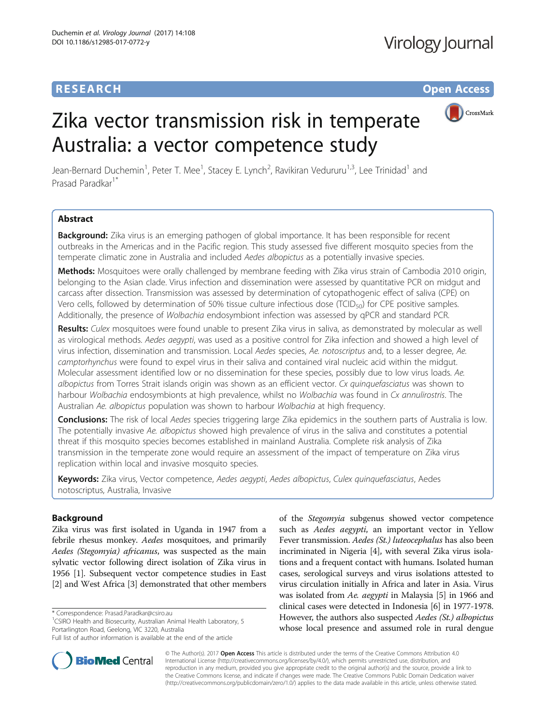## **RESEARCH CHE Open Access**

# CrossMark



Australia: a vector competence study Jean-Bernard Duchemin<sup>1</sup>, Peter T. Mee<sup>1</sup>, Stacey E. Lynch<sup>2</sup>, Ravikiran Vedururu<sup>1,3</sup>, Lee Trinidad<sup>1</sup> and

Zika vector transmission risk in temperate

Abstract

Prasad Paradkar<sup>1\*</sup>

**Background:** Zika virus is an emerging pathogen of global importance. It has been responsible for recent outbreaks in the Americas and in the Pacific region. This study assessed five different mosquito species from the temperate climatic zone in Australia and included Aedes albopictus as a potentially invasive species.

Methods: Mosquitoes were orally challenged by membrane feeding with Zika virus strain of Cambodia 2010 origin, belonging to the Asian clade. Virus infection and dissemination were assessed by quantitative PCR on midgut and carcass after dissection. Transmission was assessed by determination of cytopathogenic effect of saliva (CPE) on Vero cells, followed by determination of 50% tissue culture infectious dose (TCID<sub>50</sub>) for CPE positive samples. Additionally, the presence of Wolbachia endosymbiont infection was assessed by qPCR and standard PCR.

Results: Culex mosquitoes were found unable to present Zika virus in saliva, as demonstrated by molecular as well as virological methods. Aedes aegypti, was used as a positive control for Zika infection and showed a high level of virus infection, dissemination and transmission. Local Aedes species, Ae. notoscriptus and, to a lesser degree, Ae. camptorhynchus were found to expel virus in their saliva and contained viral nucleic acid within the midgut. Molecular assessment identified low or no dissemination for these species, possibly due to low virus loads. Ae. albopictus from Torres Strait islands origin was shown as an efficient vector. Cx quinquefasciatus was shown to harbour Wolbachia endosymbionts at high prevalence, whilst no Wolbachia was found in Cx annulirostris. The Australian Ae. albopictus population was shown to harbour Wolbachia at high frequency.

Conclusions: The risk of local Aedes species triggering large Zika epidemics in the southern parts of Australia is low. The potentially invasive Ae. albopictus showed high prevalence of virus in the saliva and constitutes a potential threat if this mosquito species becomes established in mainland Australia. Complete risk analysis of Zika transmission in the temperate zone would require an assessment of the impact of temperature on Zika virus replication within local and invasive mosquito species.

Keywords: Zika virus, Vector competence, Aedes aegypti, Aedes albopictus, Culex quinquefasciatus, Aedes notoscriptus, Australia, Invasive

## Background

Zika virus was first isolated in Uganda in 1947 from a febrile rhesus monkey. Aedes mosquitoes, and primarily Aedes (Stegomyia) africanus, was suspected as the main sylvatic vector following direct isolation of Zika virus in 1956 [\[1](#page-8-0)]. Subsequent vector competence studies in East [[2\]](#page-8-0) and West Africa [\[3](#page-8-0)] demonstrated that other members

\* Correspondence: [Prasad.Paradkar@csiro.au](mailto:Prasad.Paradkar@csiro.au) <sup>1</sup>

<sup>1</sup>CSIRO Health and Biosecurity, Australian Animal Health Laboratory, 5 Portarlington Road, Geelong, VIC 3220, Australia

of the Stegomyia subgenus showed vector competence such as Aedes aegypti, an important vector in Yellow Fever transmission. Aedes (St.) luteocephalus has also been incriminated in Nigeria [[4\]](#page-8-0), with several Zika virus isolations and a frequent contact with humans. Isolated human cases, serological surveys and virus isolations attested to virus circulation initially in Africa and later in Asia. Virus was isolated from Ae. aegypti in Malaysia [[5\]](#page-8-0) in 1966 and clinical cases were detected in Indonesia [[6\]](#page-8-0) in 1977-1978. However, the authors also suspected Aedes (St.) albopictus whose local presence and assumed role in rural dengue



© The Author(s). 2017 **Open Access** This article is distributed under the terms of the Creative Commons Attribution 4.0 International License [\(http://creativecommons.org/licenses/by/4.0/](http://creativecommons.org/licenses/by/4.0/)), which permits unrestricted use, distribution, and reproduction in any medium, provided you give appropriate credit to the original author(s) and the source, provide a link to the Creative Commons license, and indicate if changes were made. The Creative Commons Public Domain Dedication waiver [\(http://creativecommons.org/publicdomain/zero/1.0/](http://creativecommons.org/publicdomain/zero/1.0/)) applies to the data made available in this article, unless otherwise stated.

Full list of author information is available at the end of the article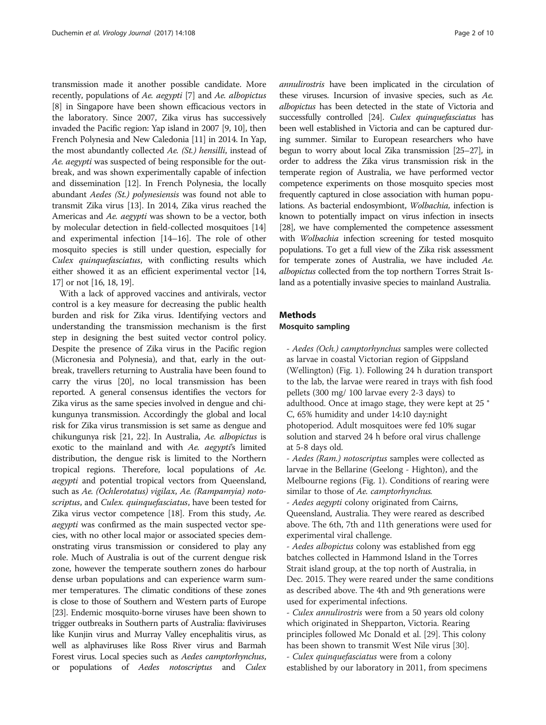transmission made it another possible candidate. More recently, populations of Ae. aegypti [\[7\]](#page-8-0) and Ae. albopictus [[8\]](#page-8-0) in Singapore have been shown efficacious vectors in the laboratory. Since 2007, Zika virus has successively invaded the Pacific region: Yap island in 2007 [\[9, 10](#page-8-0)], then French Polynesia and New Caledonia [\[11\]](#page-8-0) in 2014. In Yap, the most abundantly collected Ae. (St.) hensilli, instead of Ae. aegypti was suspected of being responsible for the outbreak, and was shown experimentally capable of infection and dissemination [\[12\]](#page-8-0). In French Polynesia, the locally abundant Aedes (St.) polynesiensis was found not able to transmit Zika virus [[13\]](#page-8-0). In 2014, Zika virus reached the Americas and Ae. aegypti was shown to be a vector, both by molecular detection in field-collected mosquitoes [[14](#page-8-0)] and experimental infection [\[14](#page-8-0)–[16](#page-8-0)]. The role of other mosquito species is still under question, especially for Culex quinquefasciatus, with conflicting results which either showed it as an efficient experimental vector [[14](#page-8-0), [17](#page-8-0)] or not [[16](#page-8-0), [18](#page-8-0), [19\]](#page-8-0).

With a lack of approved vaccines and antivirals, vector control is a key measure for decreasing the public health burden and risk for Zika virus. Identifying vectors and understanding the transmission mechanism is the first step in designing the best suited vector control policy. Despite the presence of Zika virus in the Pacific region (Micronesia and Polynesia), and that, early in the outbreak, travellers returning to Australia have been found to carry the virus [\[20\]](#page-8-0), no local transmission has been reported. A general consensus identifies the vectors for Zika virus as the same species involved in dengue and chikungunya transmission. Accordingly the global and local risk for Zika virus transmission is set same as dengue and chikungunya risk [[21](#page-8-0), [22\]](#page-8-0). In Australia, Ae. albopictus is exotic to the mainland and with Ae. aegypti's limited distribution, the dengue risk is limited to the Northern tropical regions. Therefore, local populations of Ae. aegypti and potential tropical vectors from Queensland, such as Ae. (Ochlerotatus) vigilax, Ae. (Rampamyia) notoscriptus, and Culex. quinquefasciatus, have been tested for Zika virus vector competence [\[18](#page-8-0)]. From this study, Ae. aegypti was confirmed as the main suspected vector species, with no other local major or associated species demonstrating virus transmission or considered to play any role. Much of Australia is out of the current dengue risk zone, however the temperate southern zones do harbour dense urban populations and can experience warm summer temperatures. The climatic conditions of these zones is close to those of Southern and Western parts of Europe [[23](#page-8-0)]. Endemic mosquito-borne viruses have been shown to trigger outbreaks in Southern parts of Australia: flaviviruses like Kunjin virus and Murray Valley encephalitis virus, as well as alphaviruses like Ross River virus and Barmah Forest virus. Local species such as Aedes camptorhynchus, or populations of Aedes notoscriptus and Culex annulirostris have been implicated in the circulation of these viruses. Incursion of invasive species, such as Ae. albopictus has been detected in the state of Victoria and successfully controlled [\[24](#page-8-0)]. Culex quinquefasciatus has been well established in Victoria and can be captured during summer. Similar to European researchers who have begun to worry about local Zika transmission [\[25](#page-8-0)–[27\]](#page-8-0), in order to address the Zika virus transmission risk in the temperate region of Australia, we have performed vector competence experiments on those mosquito species most frequently captured in close association with human populations. As bacterial endosymbiont, Wolbachia, infection is known to potentially impact on virus infection in insects [[28](#page-8-0)], we have complemented the competence assessment with Wolbachia infection screening for tested mosquito populations. To get a full view of the Zika risk assessment for temperate zones of Australia, we have included Ae. albopictus collected from the top northern Torres Strait Island as a potentially invasive species to mainland Australia.

## **Methods**

## Mosquito sampling

- Aedes (Och.) camptorhynchus samples were collected as larvae in coastal Victorian region of Gippsland (Wellington) (Fig. [1](#page-2-0)). Following 24 h duration transport to the lab, the larvae were reared in trays with fish food pellets (300 mg/ 100 larvae every 2-3 days) to adulthood. Once at imago stage, they were kept at 25 ° C, 65% humidity and under 14:10 day:night photoperiod. Adult mosquitoes were fed 10% sugar solution and starved 24 h before oral virus challenge at 5-8 days old.

- Aedes (Ram.) notoscriptus samples were collected as larvae in the Bellarine (Geelong - Highton), and the Melbourne regions (Fig. [1](#page-2-0)). Conditions of rearing were similar to those of Ae. camptorhynchus.

- Aedes aegypti colony originated from Cairns, Queensland, Australia. They were reared as described above. The 6th, 7th and 11th generations were used for experimental viral challenge.

- Aedes albopictus colony was established from egg batches collected in Hammond Island in the Torres Strait island group, at the top north of Australia, in Dec. 2015. They were reared under the same conditions as described above. The 4th and 9th generations were used for experimental infections.

- Culex annulirostris were from a 50 years old colony which originated in Shepparton, Victoria. Rearing principles followed Mc Donald et al. [[29](#page-8-0)]. This colony has been shown to transmit West Nile virus [\[30\]](#page-8-0).

- Culex quinquefasciatus were from a colony established by our laboratory in 2011, from specimens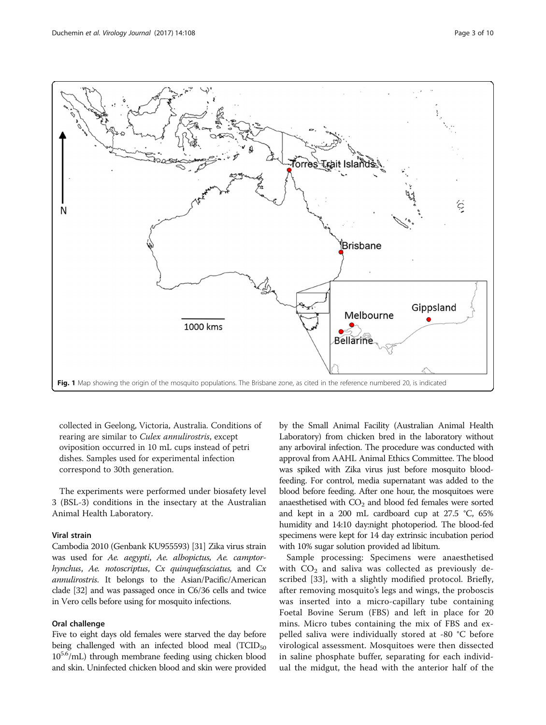<span id="page-2-0"></span>

collected in Geelong, Victoria, Australia. Conditions of rearing are similar to Culex annulirostris, except oviposition occurred in 10 mL cups instead of petri dishes. Samples used for experimental infection correspond to 30th generation.

The experiments were performed under biosafety level 3 (BSL-3) conditions in the insectary at the Australian Animal Health Laboratory.

## Viral strain

Cambodia 2010 (Genbank [KU955593\)](http://www.ncbi.nlm.nih.gov/nuccore/KU955593) [\[31\]](#page-8-0) Zika virus strain was used for Ae. aegypti, Ae. albopictus, Ae. camptorhynchus, Ae. notoscriptus, Cx quinquefasciatus, and Cx annulirostris. It belongs to the Asian/Pacific/American clade [\[32](#page-8-0)] and was passaged once in C6/36 cells and twice in Vero cells before using for mosquito infections.

## Oral challenge

Five to eight days old females were starved the day before being challenged with an infected blood meal  $(TCID_{50}$  $10^{5.6}$ /mL) through membrane feeding using chicken blood and skin. Uninfected chicken blood and skin were provided

by the Small Animal Facility (Australian Animal Health Laboratory) from chicken bred in the laboratory without any arboviral infection. The procedure was conducted with approval from AAHL Animal Ethics Committee. The blood was spiked with Zika virus just before mosquito bloodfeeding. For control, media supernatant was added to the blood before feeding. After one hour, the mosquitoes were anaesthetised with  $CO<sub>2</sub>$  and blood fed females were sorted and kept in a 200 mL cardboard cup at 27.5 °C, 65% humidity and 14:10 day:night photoperiod. The blood-fed specimens were kept for 14 day extrinsic incubation period with 10% sugar solution provided ad libitum.

Sample processing: Specimens were anaesthetised with  $CO<sub>2</sub>$  and saliva was collected as previously described [[33\]](#page-8-0), with a slightly modified protocol. Briefly, after removing mosquito's legs and wings, the proboscis was inserted into a micro-capillary tube containing Foetal Bovine Serum (FBS) and left in place for 20 mins. Micro tubes containing the mix of FBS and expelled saliva were individually stored at -80 °C before virological assessment. Mosquitoes were then dissected in saline phosphate buffer, separating for each individual the midgut, the head with the anterior half of the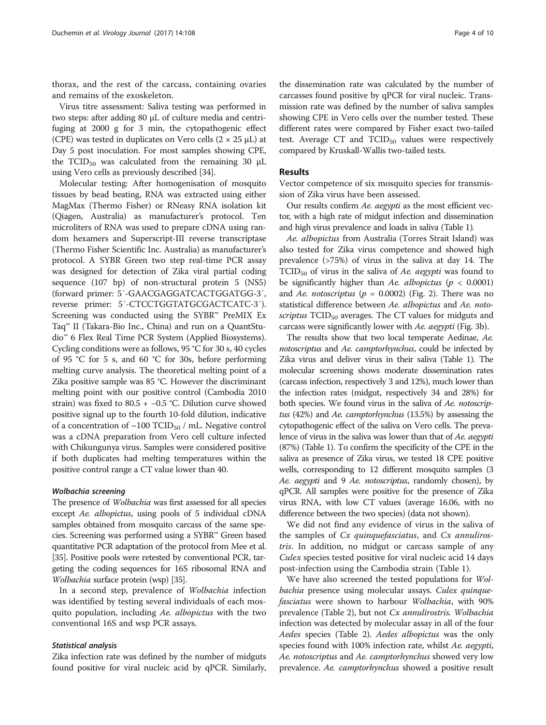thorax, and the rest of the carcass, containing ovaries and remains of the exoskeleton.

Virus titre assessment: Saliva testing was performed in two steps: after adding 80 μL of culture media and centrifuging at 2000 g for 3 min, the cytopathogenic effect (CPE) was tested in duplicates on Vero cells  $(2 \times 25 \mu L)$  at Day 5 post inoculation. For most samples showing CPE, the TCID<sub>50</sub> was calculated from the remaining 30  $\mu$ L using Vero cells as previously described [\[34](#page-8-0)].

Molecular testing: After homogenisation of mosquito tissues by bead beating, RNA was extracted using either MagMax (Thermo Fisher) or RNeasy RNA isolation kit (Qiagen, Australia) as manufacturer's protocol. Ten microliters of RNA was used to prepare cDNA using random hexamers and Superscript-III reverse transcriptase (Thermo Fisher Scientific Inc. Australia) as manufacturer's protocol. A SYBR Green two step real-time PCR assay was designed for detection of Zika viral partial coding sequence (107 bp) of non-structural protein 5 (NS5) (forward primer: 5′-GAACGAGGATCACTGGATGG-3′, reverse primer: 5′-CTCCTGGTATGCGACTCATC-3′). Screening was conducted using the SYBR™ PreMIX Ex Taq™ II (Takara-Bio Inc., China) and run on a QuantStudio™ 6 Flex Real Time PCR System (Applied Biosystems). Cycling conditions were as follows, 95 °C for 30 s, 40 cycles of 95 °C for 5 s, and 60 °C for 30s, before performing melting curve analysis. The theoretical melting point of a Zika positive sample was 85 °C. However the discriminant melting point with our positive control (Cambodia 2010 strain) was fixed to  $80.5 + -0.5$  °C. Dilution curve showed positive signal up to the fourth 10-fold dilution, indicative of a concentration of  $\sim$ 100 TCID<sub>50</sub> / mL. Negative control was a cDNA preparation from Vero cell culture infected with Chikungunya virus. Samples were considered positive if both duplicates had melting temperatures within the positive control range a CT value lower than 40.

## Wolbachia screening

The presence of *Wolbachia* was first assessed for all species except Ae. albopictus, using pools of 5 individual cDNA samples obtained from mosquito carcass of the same species. Screening was performed using a SYBR™ Green based quantitative PCR adaptation of the protocol from Mee et al. [[35](#page-8-0)]. Positive pools were retested by conventional PCR, targeting the coding sequences for 16S ribosomal RNA and Wolbachia surface protein (wsp) [[35](#page-8-0)].

In a second step, prevalence of Wolbachia infection was identified by testing several individuals of each mosquito population, including Ae. albopictus with the two conventional 16S and wsp PCR assays.

## Statistical analysis

Zika infection rate was defined by the number of midguts found positive for viral nucleic acid by qPCR. Similarly,

the dissemination rate was calculated by the number of carcasses found positive by qPCR for viral nucleic. Transmission rate was defined by the number of saliva samples showing CPE in Vero cells over the number tested. These different rates were compared by Fisher exact two-tailed test. Average CT and  $TCID_{50}$  values were respectively compared by Kruskall-Wallis two-tailed tests.

## Results

Vector competence of six mosquito species for transmission of Zika virus have been assessed.

Our results confirm Ae. aegypti as the most efficient vector, with a high rate of midgut infection and dissemination and high virus prevalence and loads in saliva (Table [1\)](#page-4-0).

Ae. albopictus from Australia (Torres Strait Island) was also tested for Zika virus competence and showed high prevalence (>75%) of virus in the saliva at day 14. The  $TCID_{50}$  of virus in the saliva of Ae. aegypti was found to be significantly higher than Ae. albopictus ( $p < 0.0001$ ) and Ae. notoscriptus ( $p = 0.0002$ ) (Fig. [2](#page-4-0)). There was no statistical difference between Ae. albopictus and Ae. notoscriptus  $TCID_{50}$  averages. The CT values for midguts and carcass were significantly lower with Ae. aegypti (Fig. [3b](#page-5-0)).

The results show that two local temperate Aedinae, Ae. notoscriptus and Ae. camptorhynchus, could be infected by Zika virus and deliver virus in their saliva (Table [1\)](#page-4-0). The molecular screening shows moderate dissemination rates (carcass infection, respectively 3 and 12%), much lower than the infection rates (midgut, respectively 34 and 28%) for both species. We found virus in the saliva of Ae. notoscriptus (42%) and Ae. camptorhynchus (13.5%) by assessing the cytopathogenic effect of the saliva on Vero cells. The prevalence of virus in the saliva was lower than that of Ae. aegypti (87%) (Table [1\)](#page-4-0). To confirm the specificity of the CPE in the saliva as presence of Zika virus, we tested 18 CPE positive wells, corresponding to 12 different mosquito samples (3 Ae. aegypti and 9 Ae. notoscriptus, randomly chosen), by qPCR. All samples were positive for the presence of Zika virus RNA, with low CT values (average 16.06, with no difference between the two species) (data not shown).

We did not find any evidence of virus in the saliva of the samples of  $Cx$  quinquefasciatus, and  $Cx$  annulirostris. In addition, no midgut or carcass sample of any Culex species tested positive for viral nucleic acid 14 days post-infection using the Cambodia strain (Table [1\)](#page-4-0).

We have also screened the tested populations for Wolbachia presence using molecular assays. Culex quinquefasciatus were shown to harbour Wolbachia, with 90% prevalence (Table [2](#page-6-0)), but not Cx annulirostris. Wolbachia infection was detected by molecular assay in all of the four Aedes species (Table [2](#page-6-0)). Aedes albopictus was the only species found with 100% infection rate, whilst Ae. aegypti, Ae. notoscriptus and Ae. camptorhynchus showed very low prevalence. Ae. camptorhynchus showed a positive result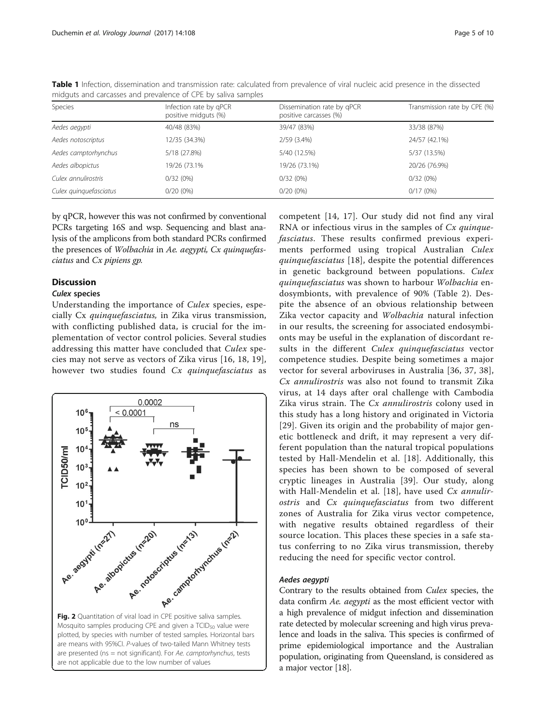| Species                | Infection rate by qPCR<br>positive midguts (%) | Dissemination rate by qPCR<br>positive carcasses (%) | Transmission rate by CPE (%)<br>33/38 (87%) |  |
|------------------------|------------------------------------------------|------------------------------------------------------|---------------------------------------------|--|
| Aedes aegypti          | 40/48 (83%)                                    | 39/47 (83%)                                          |                                             |  |
| Aedes notoscriptus     | 12/35 (34.3%)                                  | $2/59(3.4\%)$                                        | 24/57 (42.1%)                               |  |
| Aedes camptorhynchus   | 5/18 (27.8%)                                   | 5/40 (12.5%)                                         | 5/37 (13.5%)                                |  |
| Aedes albopictus       | 19/26 (73.1%                                   | 19/26 (73.1%)                                        | 20/26 (76.9%)                               |  |
| Culex annulirostris    | 0/32(0%)                                       | 0/32(0%)                                             | 0/32(0%)                                    |  |
| Culex quinquefasciatus | $0/20(0\%)$                                    | $0/20(0\%)$                                          | 0/17(0%)                                    |  |

<span id="page-4-0"></span>Table 1 Infection, dissemination and transmission rate: calculated from prevalence of viral nucleic acid presence in the dissected midguts and carcasses and prevalence of CPE by saliva samples

by qPCR, however this was not confirmed by conventional PCRs targeting 16S and wsp. Sequencing and blast analysis of the amplicons from both standard PCRs confirmed the presences of Wolbachia in Ae. aegypti, Cx quinquefasciatus and Cx pipiens gp.

## **Discussion**

## Culex species

Understanding the importance of Culex species, especially Cx quinquefasciatus, in Zika virus transmission, with conflicting published data, is crucial for the implementation of vector control policies. Several studies addressing this matter have concluded that Culex species may not serve as vectors of Zika virus [[16, 18, 19](#page-8-0)], however two studies found Cx quinquefasciatus as



Mosquito samples producing CPE and given a  $TCID<sub>50</sub>$  value were plotted, by species with number of tested samples. Horizontal bars are means with 95%CI. P-values of two-tailed Mann Whitney tests are presented (ns = not significant). For Ae. camptorhynchus, tests are not applicable due to the low number of values

competent [[14, 17\]](#page-8-0). Our study did not find any viral RNA or infectious virus in the samples of  $Cx$  quinquefasciatus. These results confirmed previous experiments performed using tropical Australian Culex quinquefasciatus [[18\]](#page-8-0), despite the potential differences in genetic background between populations. Culex quinquefasciatus was shown to harbour Wolbachia endosymbionts, with prevalence of 90% (Table [2\)](#page-6-0). Despite the absence of an obvious relationship between Zika vector capacity and Wolbachia natural infection in our results, the screening for associated endosymbionts may be useful in the explanation of discordant results in the different Culex quinquefasciatus vector competence studies. Despite being sometimes a major vector for several arboviruses in Australia [[36](#page-8-0), [37](#page-8-0), [38](#page-8-0)], Cx annulirostris was also not found to transmit Zika virus, at 14 days after oral challenge with Cambodia Zika virus strain. The Cx annulirostris colony used in this study has a long history and originated in Victoria [[29](#page-8-0)]. Given its origin and the probability of major genetic bottleneck and drift, it may represent a very different population than the natural tropical populations tested by Hall-Mendelin et al. [[18](#page-8-0)]. Additionally, this species has been shown to be composed of several cryptic lineages in Australia [\[39\]](#page-8-0). Our study, along with Hall-Mendelin et al. [[18\]](#page-8-0), have used  $Cx$  annulirostris and Cx quinquefasciatus from two different zones of Australia for Zika virus vector competence, with negative results obtained regardless of their source location. This places these species in a safe status conferring to no Zika virus transmission, thereby reducing the need for specific vector control.

## Aedes aegypti

Contrary to the results obtained from Culex species, the data confirm Ae. aegypti as the most efficient vector with a high prevalence of midgut infection and dissemination rate detected by molecular screening and high virus prevalence and loads in the saliva. This species is confirmed of prime epidemiological importance and the Australian population, originating from Queensland, is considered as a major vector [[18](#page-8-0)].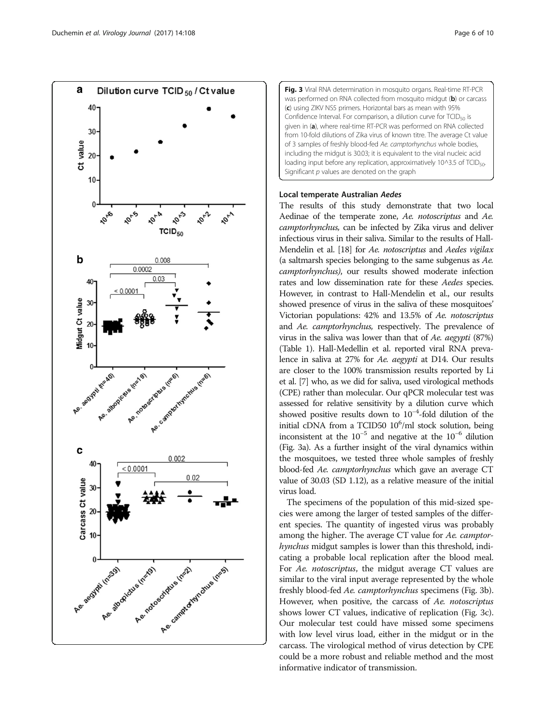<span id="page-5-0"></span>



## Local temperate Australian Aedes

The results of this study demonstrate that two local Aedinae of the temperate zone, Ae. notoscriptus and Ae. camptorhynchus, can be infected by Zika virus and deliver infectious virus in their saliva. Similar to the results of Hall-Mendelin et al. [[18](#page-8-0)] for Ae. notoscriptus and Aedes vigilax (a saltmarsh species belonging to the same subgenus as Ae. camptorhynchus), our results showed moderate infection rates and low dissemination rate for these Aedes species. However, in contrast to Hall-Mendelin et al., our results showed presence of virus in the saliva of these mosquitoes' Victorian populations: 42% and 13.5% of Ae. notoscriptus and Ae. camptorhynchus, respectively. The prevalence of virus in the saliva was lower than that of Ae. aegypti (87%) (Table [1](#page-4-0)). Hall-Medellin et al. reported viral RNA prevalence in saliva at 27% for Ae. aegypti at D14. Our results are closer to the 100% transmission results reported by Li et al. [\[7\]](#page-8-0) who, as we did for saliva, used virological methods (CPE) rather than molecular. Our qPCR molecular test was assessed for relative sensitivity by a dilution curve which showed positive results down to 10−<sup>4</sup> -fold dilution of the initial cDNA from a TCID50 10<sup>6</sup>/ml stock solution, being inconsistent at the  $10^{-5}$  and negative at the  $10^{-6}$  dilution (Fig. 3a). As a further insight of the viral dynamics within the mosquitoes, we tested three whole samples of freshly blood-fed Ae. camptorhynchus which gave an average CT value of 30.03 (SD 1.12), as a relative measure of the initial virus load.

The specimens of the population of this mid-sized species were among the larger of tested samples of the different species. The quantity of ingested virus was probably among the higher. The average CT value for Ae. camptorhynchus midgut samples is lower than this threshold, indicating a probable local replication after the blood meal. For Ae. notoscriptus, the midgut average CT values are similar to the viral input average represented by the whole freshly blood-fed Ae. camptorhynchus specimens (Fig. 3b). However, when positive, the carcass of Ae. notoscriptus shows lower CT values, indicative of replication (Fig. 3c). Our molecular test could have missed some specimens with low level virus load, either in the midgut or in the carcass. The virological method of virus detection by CPE could be a more robust and reliable method and the most informative indicator of transmission.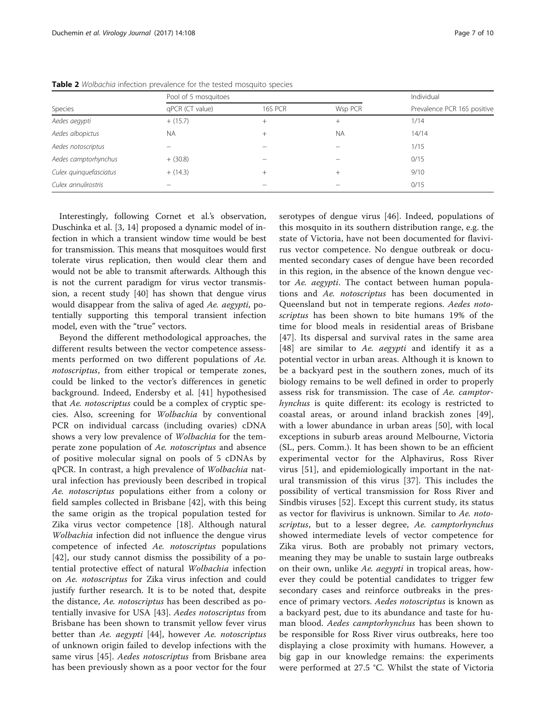| Species                | Pool of 5 mosquitoes |         |           | Individual                  |
|------------------------|----------------------|---------|-----------|-----------------------------|
|                        | qPCR (CT value)      | 16S PCR | Wsp PCR   | Prevalence PCR 16S positive |
| Aedes aegypti          | $+$ (15.7)           | $^{+}$  | $^+$      | 1/14                        |
| Aedes albopictus       | NA.                  | $^{+}$  | <b>NA</b> | 14/14                       |
| Aedes notoscriptus     |                      |         | —         | 1/15                        |
| Aedes camptorhynchus   | $+$ (30.8)           |         |           | 0/15                        |
| Culex quinquefasciatus | $+ (14.3)$           | $^{+}$  | $^+$      | 9/10                        |
| Culex annulirostris    |                      |         |           | 0/15                        |

<span id="page-6-0"></span>Table 2 Wolbachia infection prevalence for the tested mosquito species

Interestingly, following Cornet et al.'s observation, Duschinka et al. [[3](#page-8-0), [14](#page-8-0)] proposed a dynamic model of infection in which a transient window time would be best for transmission. This means that mosquitoes would first tolerate virus replication, then would clear them and would not be able to transmit afterwards. Although this is not the current paradigm for virus vector transmission, a recent study [\[40\]](#page-8-0) has shown that dengue virus would disappear from the saliva of aged Ae. aegypti, potentially supporting this temporal transient infection model, even with the "true" vectors.

Beyond the different methodological approaches, the different results between the vector competence assessments performed on two different populations of Ae. notoscriptus, from either tropical or temperate zones, could be linked to the vector's differences in genetic background. Indeed, Endersby et al. [\[41](#page-8-0)] hypothesised that Ae. notoscriptus could be a complex of cryptic species. Also, screening for Wolbachia by conventional PCR on individual carcass (including ovaries) cDNA shows a very low prevalence of Wolbachia for the temperate zone population of Ae. notoscriptus and absence of positive molecular signal on pools of 5 cDNAs by qPCR. In contrast, a high prevalence of Wolbachia natural infection has previously been described in tropical Ae. notoscriptus populations either from a colony or field samples collected in Brisbane [[42\]](#page-8-0), with this being the same origin as the tropical population tested for Zika virus vector competence [[18\]](#page-8-0). Although natural Wolbachia infection did not influence the dengue virus competence of infected Ae. notoscriptus populations [[42\]](#page-8-0), our study cannot dismiss the possibility of a potential protective effect of natural Wolbachia infection on Ae. notoscriptus for Zika virus infection and could justify further research. It is to be noted that, despite the distance, Ae. notoscriptus has been described as potentially invasive for USA [[43\]](#page-8-0). Aedes notoscriptus from Brisbane has been shown to transmit yellow fever virus better than Ae. aegypti [[44\]](#page-8-0), however Ae. notoscriptus of unknown origin failed to develop infections with the same virus [[45\]](#page-8-0). Aedes notoscriptus from Brisbane area has been previously shown as a poor vector for the four

serotypes of dengue virus [[46\]](#page-9-0). Indeed, populations of this mosquito in its southern distribution range, e.g. the state of Victoria, have not been documented for flavivirus vector competence. No dengue outbreak or documented secondary cases of dengue have been recorded in this region, in the absence of the known dengue vector Ae. aegypti. The contact between human populations and Ae. notoscriptus has been documented in Queensland but not in temperate regions. Aedes notoscriptus has been shown to bite humans 19% of the time for blood meals in residential areas of Brisbane [[47\]](#page-9-0). Its dispersal and survival rates in the same area [[48](#page-9-0)] are similar to Ae. aegypti and identify it as a potential vector in urban areas. Although it is known to be a backyard pest in the southern zones, much of its biology remains to be well defined in order to properly assess risk for transmission. The case of Ae. camptorhynchus is quite different: its ecology is restricted to coastal areas, or around inland brackish zones [\[49](#page-9-0)], with a lower abundance in urban areas [\[50](#page-9-0)], with local exceptions in suburb areas around Melbourne, Victoria (SL, pers. Comm.). It has been shown to be an efficient experimental vector for the Alphavirus, Ross River virus [\[51](#page-9-0)], and epidemiologically important in the natural transmission of this virus [[37\]](#page-8-0). This includes the possibility of vertical transmission for Ross River and Sindbis viruses [[52\]](#page-9-0). Except this current study, its status as vector for flavivirus is unknown. Similar to Ae. notoscriptus, but to a lesser degree, Ae. camptorhynchus showed intermediate levels of vector competence for Zika virus. Both are probably not primary vectors, meaning they may be unable to sustain large outbreaks on their own, unlike Ae. aegypti in tropical areas, however they could be potential candidates to trigger few secondary cases and reinforce outbreaks in the presence of primary vectors. Aedes notoscriptus is known as a backyard pest, due to its abundance and taste for human blood. Aedes camptorhynchus has been shown to be responsible for Ross River virus outbreaks, here too displaying a close proximity with humans. However, a big gap in our knowledge remains: the experiments were performed at 27.5 °C. Whilst the state of Victoria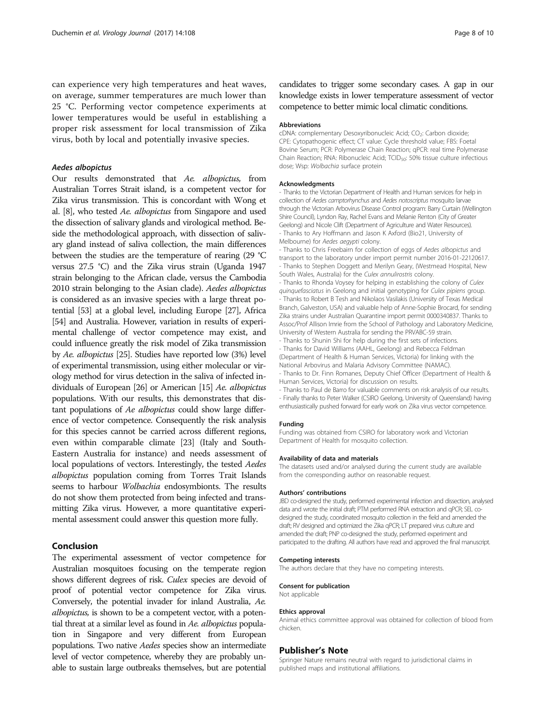can experience very high temperatures and heat waves, on average, summer temperatures are much lower than 25 °C. Performing vector competence experiments at lower temperatures would be useful in establishing a proper risk assessment for local transmission of Zika virus, both by local and potentially invasive species.

## Aedes albopictus

Our results demonstrated that Ae. albopictus, from Australian Torres Strait island, is a competent vector for Zika virus transmission. This is concordant with Wong et al. [[8](#page-8-0)], who tested Ae. albopictus from Singapore and used the dissection of salivary glands and virological method. Beside the methodological approach, with dissection of salivary gland instead of saliva collection, the main differences between the studies are the temperature of rearing (29 °C versus 27.5 °C) and the Zika virus strain (Uganda 1947 strain belonging to the African clade, versus the Cambodia 2010 strain belonging to the Asian clade). Aedes albopictus is considered as an invasive species with a large threat potential [[53](#page-9-0)] at a global level, including Europe [\[27\]](#page-8-0), Africa [[54](#page-9-0)] and Australia. However, variation in results of experimental challenge of vector competence may exist, and could influence greatly the risk model of Zika transmission by Ae. albopictus [[25](#page-8-0)]. Studies have reported low (3%) level of experimental transmission, using either molecular or virology method for virus detection in the saliva of infected individuals of European [\[26\]](#page-8-0) or American [\[15](#page-8-0)] Ae. albopictus populations. With our results, this demonstrates that distant populations of Ae albopictus could show large difference of vector competence. Consequently the risk analysis for this species cannot be carried across different regions, even within comparable climate [[23](#page-8-0)] (Italy and South-Eastern Australia for instance) and needs assessment of local populations of vectors. Interestingly, the tested Aedes albopictus population coming from Torres Trait Islands seems to harbour Wolbachia endosymbionts. The results do not show them protected from being infected and transmitting Zika virus. However, a more quantitative experimental assessment could answer this question more fully.

## Conclusion

The experimental assessment of vector competence for Australian mosquitoes focusing on the temperate region shows different degrees of risk. Culex species are devoid of proof of potential vector competence for Zika virus. Conversely, the potential invader for inland Australia, Ae. albopictus, is shown to be a competent vector, with a potential threat at a similar level as found in Ae. albopictus population in Singapore and very different from European populations. Two native Aedes species show an intermediate level of vector competence, whereby they are probably unable to sustain large outbreaks themselves, but are potential

candidates to trigger some secondary cases. A gap in our knowledge exists in lower temperature assessment of vector competence to better mimic local climatic conditions.

## Abbreviations

cDNA: complementary Desoxyribonucleic Acid; CO<sub>2</sub>: Carbon dioxide; CPE: Cytopathogenic effect; CT value: Cycle threshold value; FBS: Foetal Bovine Serum; PCR: Polymerase Chain Reaction; qPCR: real time Polymerase Chain Reaction; RNA: Ribonucleic Acid; TCID50: 50% tissue culture infectious dose; Wsp: Wolbachia surface protein

## Acknowledgments

- Thanks to the Victorian Department of Health and Human services for help in collection of Aedes camptorhynchus and Aedes notoscriptus mosquito larvae through the Victorian Arbovirus Disease Control program: Barry Curtain (Wellington Shire Council), Lyndon Ray, Rachel Evans and Melanie Renton (City of Greater Geelong) and Nicole Clift (Department of Agriculture and Water Resources). - Thanks to Ary Hoffmann and Jason K Axford (Bio21, University of Melbourne) for Aedes aegypti colony.

- Thanks to Chris Freebairn for collection of eggs of Aedes albopictus and transport to the laboratory under import permit number 2016-01-22120617. - Thanks to Stephen Doggett and Merilyn Geary, (Westmead Hospital, New South Wales, Australia) for the Culex annulirostris colony.

- Thanks to Rhonda Voysey for helping in establishing the colony of Culex quinquefasciatus in Geelong and initial genotyping for Culex pipiens group. - Thanks to Robert B Tesh and Nikolaos Vasilakis (University of Texas Medical Branch, Galveston, USA) and valuable help of Anne-Sophie Brocard, for sending Zika strains under Australian Quarantine import permit 0000340837. Thanks to Assoc/Prof Allison Imrie from the School of Pathology and Laboratory Medicine, University of Western Australia for sending the PRVABC-59 strain.

- Thanks to Shunin Shi for help during the first sets of infections. - Thanks for David Williams (AAHL, Geelong) and Rebecca Feldman (Department of Health & Human Services, Victoria) for linking with the National Arbovirus and Malaria Advisory Committee (NAMAC). - Thanks to Dr. Finn Romanes, Deputy Chief Officer (Department of Health &

Human Services, Victoria) for discussion on results. - Thanks to Paul de Barro for valuable comments on risk analysis of our results. - Finally thanks to Peter Walker (CSIRO Geelong, University of Queensland) having

enthusiastically pushed forward for early work on Zika virus vector competence.

#### Funding

Funding was obtained from CSIRO for laboratory work and Victorian Department of Health for mosquito collection.

#### Availability of data and materials

The datasets used and/or analysed during the current study are available from the corresponding author on reasonable request.

#### Authors' contributions

JBD co-designed the study, performed experimental infection and dissection, analysed data and wrote the initial draft; PTM performed RNA extraction and qPCR; SEL codesigned the study, coordinated mosquito collection in the field and amended the draft; RV designed and optimized the Zika qPCR; LT prepared virus culture and amended the draft; PNP co-designed the study, performed experiment and participated to the drafting. All authors have read and approved the final manuscript.

#### Competing interests

The authors declare that they have no competing interests.

#### Consent for publication

Not applicable

#### Ethics approval

Animal ethics committee approval was obtained for collection of blood from chicken.

## Publisher's Note

Springer Nature remains neutral with regard to jurisdictional claims in published maps and institutional affiliations.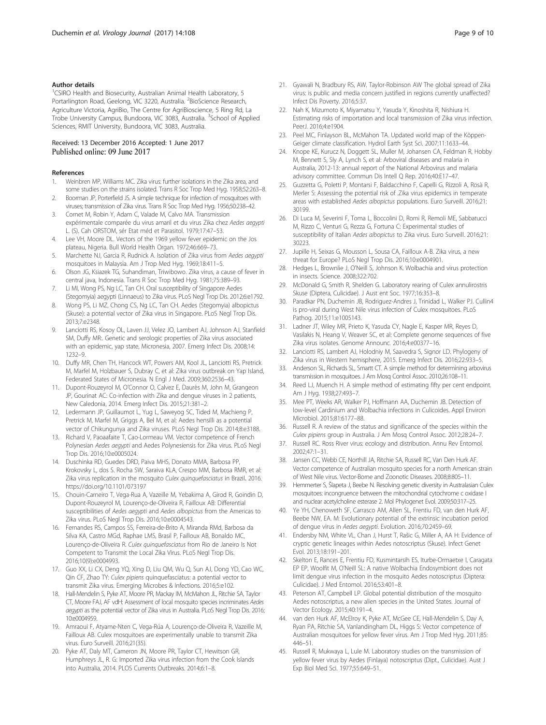## <span id="page-8-0"></span>Author details

<sup>1</sup>CSIRO Health and Biosecurity, Australian Animal Health Laboratory, 5 Portarlington Road, Geelong, VIC 3220, Australia. <sup>2</sup>BioScience Research, Agriculture Victoria, AgriBio, The Centre for AgriBioscience, 5 Ring Rd, La Trobe University Campus, Bundoora, VIC 3083, Australia. <sup>3</sup>School of Applied Sciences, RMIT University, Bundoora, VIC 3083, Australia.

## Received: 13 December 2016 Accepted: 1 June 2017 Published online: 09 June 2017

### References

- 1. Weinbren MP, Williams MC. Zika virus: further isolations in the Zika area, and some studies on the strains isolated. Trans R Soc Trop Med Hyg. 1958;52:263–8.
- 2. Boorman JP, Porterfield JS. A simple technique for infection of mosquitoes with viruses; transmission of Zika virus. Trans R Soc Trop Med Hyg. 1956;50:238–42.
- 3. Cornet M, Robin Y, Adam C, Valade M, Calvo MA. Transmission expérimentale comparée du virus amaril et du virus Zika chez Aedes aegypti L. (S). Cah ORSTOM, sér Etat méd et Parasitol. 1979;17:47–53.
- Lee VH, Moore DL. Vectors of the 1969 yellow fever epidemic on the Jos plateau, Nigeria. Bull World Health Organ. 1972;46:669–73.
- Marchette NJ, Garcia R, Rudnick A. Isolation of Zika virus from Aedes aegypti mosquitoes in Malaysia. Am J Trop Med Hyg. 1969;18:411–5.
- 6. Olson JG, Ksiazek TG, Suhandiman, Triwibowo. Zika virus, a cause of fever in central java, Indonesia. Trans R Soc Trop Med Hyg. 1981;75:389–93.
- 7. Li MI, Wong PS, Ng LC, Tan CH. Oral susceptibility of Singapore Aedes (Stegomyia) aegypti (Linnaeus) to Zika virus. PLoS Negl Trop Dis. 2012;6:e1792.
- 8. Wong PS, Li MZ, Chong CS, Ng LC, Tan CH. Aedes (Stegomyia) albopictus (Skuse): a potential vector of Zika virus in Singapore. PLoS Negl Trop Dis. 2013;7:e2348.
- 9. Lanciotti RS, Kosoy OL, Laven JJ, Velez JO, Lambert AJ, Johnson AJ, Stanfield SM, Duffy MR:. Genetic and serologic properties of Zika virus associated with an epidemic, yap state, Micronesia, 2007. Emerg Infect Dis. 2008;14: 1232–9.
- 10. Duffy MR, Chen TH, Hancock WT, Powers AM, Kool JL, Lanciotti RS, Pretrick M, Marfel M, Holzbauer S, Dubray C, et al: Zika virus outbreak on Yap Island, Federated States of Micronesia. N Engl J Med. 2009;360:2536–43.
- 11. Dupont-Rouzeyrol M, O'Connor O, Calvez E, Daurès M, John M, Grangeon JP, Gourinat AC: Co-infection with Zika and dengue viruses in 2 patients, New Caledonia, 2014. Emerg Infect Dis. 2015;21:381–2.
- 12. Ledermann JP, Guillaumot L, Yug L, Saweyog SC, Tided M, Machieng P, Pretrick M, Marfel M, Griggs A, Bel M, et al: Aedes hensilli as a potential vector of Chikungunya and Zika viruses. PLoS Negl Trop Dis. 2014;8:e3188.
- 13. Richard V, Paoaafaite T, Cao-Lormeau VM. Vector competence of French Polynesian Aedes aegypti and Aedes Polynesiensis for Zika virus. PLoS Negl Trop Dis. 2016;10:e0005024.
- 14. Duschinka RD, Guedes DRD, Paiva MHS, Donato MMA, Barbosa PP, Krokovsky L, dos S. Rocha SW, Saraiva KLA, Crespo MM, Barbosa RMR, et al: Zika virus replication in the mosquito Culex quinquefasciatus in Brazil. 2016. <https://doi.org/10.1101/073197>
- 15. Chouin-Carneiro T, Vega-Rua A, Vazeille M, Yebakima A, Girod R, Goindin D, Dupont-Rouzeyrol M, Lourenço-de-Oliveira R, Failloux AB: Differential susceptibilities of Aedes aegypti and Aedes albopictus from the Americas to Zika virus. PLoS Negl Trop Dis. 2016;10:e0004543.
- 16. Fernandes RS, Campos SS, Ferreira-de-Brito A, Miranda RMd, Barbosa da Silva KA, Castro MGd, Raphae LMS, Brasil P, Failloux AB, Bonaldo MC, Lourenço-de-Oliveira R. Culex quinquefasciatus from Rio de Janeiro Is Not Competent to Transmit the Local Zika Virus. PLoS Negl Trop Dis. 2016;10(9):e0004993.
- 17. Guo XX, Li CX, Deng YQ, Xing D, Liu QM, Wu Q, Sun AJ, Dong YD, Cao WC, Qin CF, Zhao TY: Culex pipiens quinquefasciatus: a potential vector to transmit Zika virus. Emerging Microbes & Infections. 2016;5:e102.
- 18. Hall-Mendelin S, Pyke AT, Moore PR, Mackay IM, McMahon JL, Ritchie SA, Taylor CT, Moore FAJ, AF vdH: Assessment of local mosquito species incriminates Aedes aegypti as the potential vector of Zika virus in Australia. PLoS Negl Trop Dis. 2016; 10:e0004959.
- 19. Amraoui F, Atyame-Nten C, Vega-Rúa A, Lourenço-de-Oliveira R, Vazeille M, Failloux AB. Culex mosquitoes are experimentally unable to transmit Zika virus. Euro Surveill. 2016;21(35).
- 20. Pyke AT, Daly MT, Cameron JN, Moore PR, Taylor CT, Hewitson GR, Humphreys JL, R. G: Imported Zika virus infection from the Cook Islands into Australia, 2014. PLOS Currents Outbreaks. 2014;6:1–8.
- 21. Gyawali N, Bradbury RS, AW. Taylor-Robinson AW The global spread of Zika virus: is public and media concern justified in regions currently unaffected? Infect Dis Poverty. 2016;5:37.
- 22. Nah K, Mizumoto K, Miyamatsu Y, Yasuda Y, Kinoshita R, Nishiura H. Estimating risks of importation and local transmission of Zika virus infection. PeerJ. 2016;4:e1904.
- 23. Peel MC, Finlayson BL, McMahon TA. Updated world map of the Köppen-Geiger climate classification. Hydrol Earth Syst Sci. 2007;11:1633–44.
- 24. Knope KE, Kurucz N, Doggett SL, Muller M, Johansen CA, Feldman R, Hobby M, Bennett S, Sly A, Lynch S, et al: Arboviral diseases and malaria in Australia, 2012-13: annual report of the National Arbovirus and malaria advisory committee. Commun Dis Intell Q Rep. 2016;40:E17–47.
- 25. Guzzetta G, Poletti P, Montarsi F, Baldacchino F, Capelli G, Rizzoli A, Rosà R, Merler S: Assessing the potential risk of .Zika virus epidemics in temperate areas with established Aedes albopictus populations. Euro Surveill. 2016;21: 30199.
- 26. Di Luca M, Severini F, Toma L, Boccolini D, Romi R, Remoli ME, Sabbatucci M, Rizzo C, Venturi G, Rezza G, Fortuna C: Experimental studies of susceptibility of Italian Aedes albopictus to Zika virus. Euro Surveill. 2016;21: 30223.
- 27. Jupille H, Seixas G, Mousson L, Sousa CA, Failloux A-B. Zika virus, a new threat for Europe? PLoS Negl Trop Dis. 2016;10:e0004901.
- 28. Hedges L, Brownlie J, O'Neill S, Johnson K. Wolbachia and virus protection in insects. Science. 2008;322:702.
- McDonald G, Smith R, Shelden G. Laboratory rearing of Culex annulirostris Skuse (Diptera, Culicidae). J Aust ent Soc. 1977;16:353–8.
- 30. Paradkar PN, Duchemin JB, Rodriguez-Andres J, Trinidad L, Walker PJ. Cullin4 is pro-viral during West Nile virus infection of Culex mosquitoes. PLoS Pathog. 2015;11:e1005143.
- 31. Ladner JT, Wiley MR, Prieto K, Yasuda CY, Nagle E, Kasper MR, Reyes D, Vasilakis N, Heang V, Weaver SC, et al: Complete genome sequences of five Zika virus isolates. Genome Announc. 2016;4:e00377–16.
- 32. Lanciotti RS, Lambert AJ, Holodniy M, Saavedra S, Signor LD. Phylogeny of Zika virus in Western hemisphere, 2015. Emerg Infect Dis. 2016;22:933–5.
- 33. Anderson SL, Richards SL, Smartt CT. A simple method for determining arbovirus transmission in mosquitoes. J Am Mosq Control Assoc. 2010;26:108–11.
- 34. Reed LJ, Muench H. A simple method of estimating fifty per cent endpoint. Am J Hyg. 1938;27:493–7.
- 35. Mee PT, Weeks AR, Walker PJ, Hoffmann AA, Duchemin JB. Detection of low-level Cardinium and Wolbachia infections in Culicoides. Appl Environ Microbiol. 2015;81:6177–88.
- 36. Russell R. A review of the status and significance of the species within the Culex pipiens group in Australia. J Am Mosq Control Assoc. 2012;28:24–7.
- 37. Russell RC. Ross River virus: ecology and distribution. Annu Rev Entomol. 2002;47:1–31.
- 38. Jansen CC, Webb CE, Northill JA, Ritchie SA, Russell RC, Van Den Hurk AF. Vector competence of Australian mosquito species for a north American strain of West Nile virus. Vector-Borne and Zoonotic Diseases. 2008;8:805–11.
- 39. Hemmerter S, Šlapeta J, Beebe N. Resolving genetic diversity in Australasian Culex mosquitoes: incongruence between the mitochondrial cytochrome c oxidase I and nuclear acetylcholine esterase 2. Mol Phylogenet Evol. 2009;50:317–25.
- 40. Ye YH, Chenoweth SF, Carrasco AM, Allen SL, Frentiu FD, van den Hurk AF, Beebe NW, EA. M: Evolutionary potential of the extrinsic incubation period of dengue virus in Aedes aegypti. Evolution. 2016;70:2459–69.
- 41. Endersby NM, White VL, Chan J, Hurst T, Rašic G, Miller A, AA H: Evidence of cryptic genetic lineages within Aedes notoscriptus (Skuse). Infect Genet Evol. 2013;18:191–201.
- 42. Skelton E, Rances E, Frentiu FD, Kusmintarsih ES, Iturbe-Ormaetxe I, Caragata EP EP, Woolfit M, O'Neill SL: A native Wolbachia Endosymbiont does not limit dengue virus infection in the mosquito Aedes notoscriptus (Diptera: Culicidae). J Med Entomol. 2016;53:401–8.
- 43. Peterson AT, Campbell LP. Global potential distribution of the mosquito Aedes notoscriptus, a new alien species in the United States. Journal of Vector Ecology. 2015;40:191–4.
- 44. van den Hurk AF, McElroy K, Pyke AT, McGee CE, Hall-Mendelin S, Day A, Ryan PA, Ritchie SA, Vanlandingham DL, Higgs S: Vector competence of Australian mosquitoes for yellow fever virus. Am J Trop Med Hyg. 2011;85: 446–51.
- 45. Russell R, Mukwaya L, Lule M. Laboratory studies on the transmission of yellow fever virus by Aedes (Finlaya) notoscriptus (Dipt., Culicidae). Aust J Exp Biol Med Sci. 1977;55:649–51.